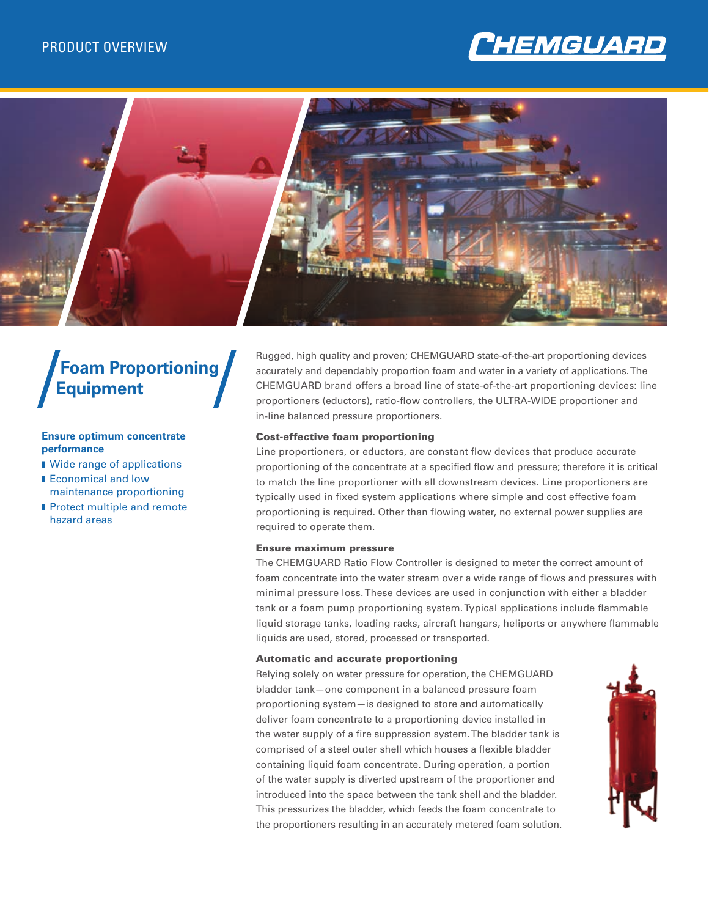



# **Foam Proportioning Equipment**

# **Ensure optimum concentrate performance**

- Wide range of applications
- **Economical and low** maintenance proportioning
- **n** Protect multiple and remote hazard areas

Rugged, high quality and proven; CHEMGUARD state-of-the-art proportioning devices accurately and dependably proportion foam and water in a variety of applications. The CHEMGUARD brand offers a broad line of state-of-the-art proportioning devices: line proportioners (eductors), ratio-flow controllers, the ULTRA-WIDE proportioner and in-line balanced pressure proportioners.

### Cost-effective foam proportioning

Line proportioners, or eductors, are constant flow devices that produce accurate proportioning of the concentrate at a specified flow and pressure; therefore it is critical to match the line proportioner with all downstream devices. Line proportioners are typically used in fixed system applications where simple and cost effective foam proportioning is required. Other than flowing water, no external power supplies are required to operate them.

### Ensure maximum pressure

The CHEMGUARD Ratio Flow Controller is designed to meter the correct amount of foam concentrate into the water stream over a wide range of flows and pressures with minimal pressure loss. These devices are used in conjunction with either a bladder tank or a foam pump proportioning system. Typical applications include flammable liquid storage tanks, loading racks, aircraft hangars, heliports or anywhere flammable liquids are used, stored, processed or transported.

### Automatic and accurate proportioning

Relying solely on water pressure for operation, the CHEMGUARD bladder tank—one component in a balanced pressure foam proportioning system—is designed to store and automatically deliver foam concentrate to a proportioning device installed in the water supply of a fire suppression system. The bladder tank is comprised of a steel outer shell which houses a flexible bladder containing liquid foam concentrate. During operation, a portion of the water supply is diverted upstream of the proportioner and introduced into the space between the tank shell and the bladder. This pressurizes the bladder, which feeds the foam concentrate to the proportioners resulting in an accurately metered foam solution.